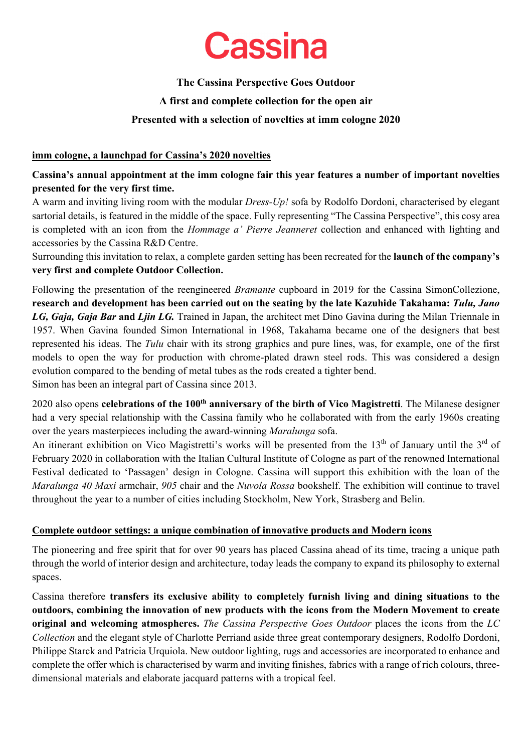## **The Cassina Perspective Goes Outdoor A first and complete collection for the open air Presented with a selection of novelties at imm cologne 2020**

## **imm cologne, a launchpad for Cassina's 2020 novelties**

## **Cassina's annual appointment at the imm cologne fair this year features a number of important novelties presented for the very first time.**

A warm and inviting living room with the modular *Dress-Up!* sofa by Rodolfo Dordoni, characterised by elegant sartorial details, is featured in the middle of the space. Fully representing "The Cassina Perspective", this cosy area is completed with an icon from the *Hommage a' Pierre Jeanneret* collection and enhanced with lighting and accessories by the Cassina R&D Centre.

Surrounding this invitation to relax, a complete garden setting has been recreated for the **launch of the company's very first and complete Outdoor Collection.** 

Following the presentation of the reengineered *Bramante* cupboard in 2019 for the Cassina SimonCollezione, **research and development has been carried out on the seating by the late Kazuhide Takahama:** *Tulu, Jano LG, Gaja, Gaja Bar* **and** *Ljin LG.* Trained in Japan, the architect met Dino Gavina during the Milan Triennale in 1957. When Gavina founded Simon International in 1968, Takahama became one of the designers that best represented his ideas. The *Tulu* chair with its strong graphics and pure lines, was, for example, one of the first models to open the way for production with chrome-plated drawn steel rods. This was considered a design evolution compared to the bending of metal tubes as the rods created a tighter bend. Simon has been an integral part of Cassina since 2013.

2020 also opens **celebrations of the 100th anniversary of the birth of Vico Magistretti**. The Milanese designer had a very special relationship with the Cassina family who he collaborated with from the early 1960s creating over the years masterpieces including the award-winning *Maralunga* sofa.

An itinerant exhibition on Vico Magistretti's works will be presented from the  $13<sup>th</sup>$  of January until the  $3<sup>rd</sup>$  of February 2020 in collaboration with the Italian Cultural Institute of Cologne as part of the renowned International Festival dedicated to 'Passagen' design in Cologne. Cassina will support this exhibition with the loan of the *Maralunga 40 Maxi* armchair, *905* chair and the *Nuvola Rossa* bookshelf. The exhibition will continue to travel throughout the year to a number of cities including Stockholm, New York, Strasberg and Belin.

## **Complete outdoor settings: a unique combination of innovative products and Modern icons**

The pioneering and free spirit that for over 90 years has placed Cassina ahead of its time, tracing a unique path through the world of interior design and architecture, today leads the company to expand its philosophy to external spaces.

Cassina therefore **transfers its exclusive ability to completely furnish living and dining situations to the outdoors, combining the innovation of new products with the icons from the Modern Movement to create original and welcoming atmospheres.** *The Cassina Perspective Goes Outdoor* places the icons from the *LC Collection* and the elegant style of Charlotte Perriand aside three great contemporary designers, Rodolfo Dordoni, Philippe Starck and Patricia Urquiola. New outdoor lighting, rugs and accessories are incorporated to enhance and complete the offer which is characterised by warm and inviting finishes, fabrics with a range of rich colours, threedimensional materials and elaborate jacquard patterns with a tropical feel.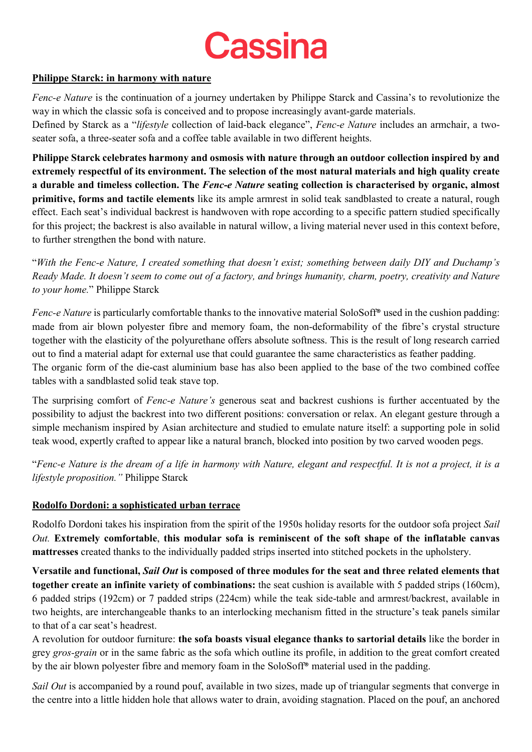

## **Philippe Starck: in harmony with nature**

*Fenc-e Nature* is the continuation of a journey undertaken by Philippe Starck and Cassina's to revolutionize the way in which the classic sofa is conceived and to propose increasingly avant-garde materials.

Defined by Starck as a "*lifestyle* collection of laid-back elegance", *Fenc-e Nature* includes an armchair, a twoseater sofa, a three-seater sofa and a coffee table available in two different heights.

**Philippe Starck celebrates harmony and osmosis with nature through an outdoor collection inspired by and extremely respectful of its environment. The selection of the most natural materials and high quality create a durable and timeless collection. The** *Fenc-e Nature* **seating collection is characterised by organic, almost primitive, forms and tactile elements** like its ample armrest in solid teak sandblasted to create a natural, rough effect. Each seat's individual backrest is handwoven with rope according to a specific pattern studied specifically for this project; the backrest is also available in natural willow, a living material never used in this context before, to further strengthen the bond with nature.

"*With the Fenc-e Nature, I created something that doesn't exist; something between daily DIY and Duchamp's Ready Made. It doesn't seem to come out of a factory, and brings humanity, charm, poetry, creativity and Nature to your home.*" Philippe Starck

*Fenc-e Nature* is particularly comfortable thanks to the innovative material SoloSoff<sup>®</sup> used in the cushion padding: made from air blown polyester fibre and memory foam, the non-deformability of the fibre's crystal structure together with the elasticity of the polyurethane offers absolute softness. This is the result of long research carried out to find a material adapt for external use that could guarantee the same characteristics as feather padding. The organic form of the die-cast aluminium base has also been applied to the base of the two combined coffee tables with a sandblasted solid teak stave top.

The surprising comfort of *Fenc-e Nature's* generous seat and backrest cushions is further accentuated by the possibility to adjust the backrest into two different positions: conversation or relax. An elegant gesture through a simple mechanism inspired by Asian architecture and studied to emulate nature itself: a supporting pole in solid teak wood, expertly crafted to appear like a natural branch, blocked into position by two carved wooden pegs.

"*Fenc-e Nature is the dream of a life in harmony with Nature, elegant and respectful. It is not a project, it is a lifestyle proposition."* Philippe Starck

## **Rodolfo Dordoni: a sophisticated urban terrace**

Rodolfo Dordoni takes his inspiration from the spirit of the 1950s holiday resorts for the outdoor sofa project *Sail Out.* **Extremely comfortable**, **this modular sofa is reminiscent of the soft shape of the inflatable canvas mattresses** created thanks to the individually padded strips inserted into stitched pockets in the upholstery.

**Versatile and functional,** *Sail Out* **is composed of three modules for the seat and three related elements that together create an infinite variety of combinations:** the seat cushion is available with 5 padded strips (160cm), 6 padded strips (192cm) or 7 padded strips (224cm) while the teak side-table and armrest/backrest, available in two heights, are interchangeable thanks to an interlocking mechanism fitted in the structure's teak panels similar to that of a car seat's headrest.

A revolution for outdoor furniture: **the sofa boasts visual elegance thanks to sartorial details** like the border in grey *gros-grain* or in the same fabric as the sofa which outline its profile, in addition to the great comfort created by the air blown polyester fibre and memory foam in the SoloSoff® material used in the padding.

*Sail Out* is accompanied by a round pouf, available in two sizes, made up of triangular segments that converge in the centre into a little hidden hole that allows water to drain, avoiding stagnation. Placed on the pouf, an anchored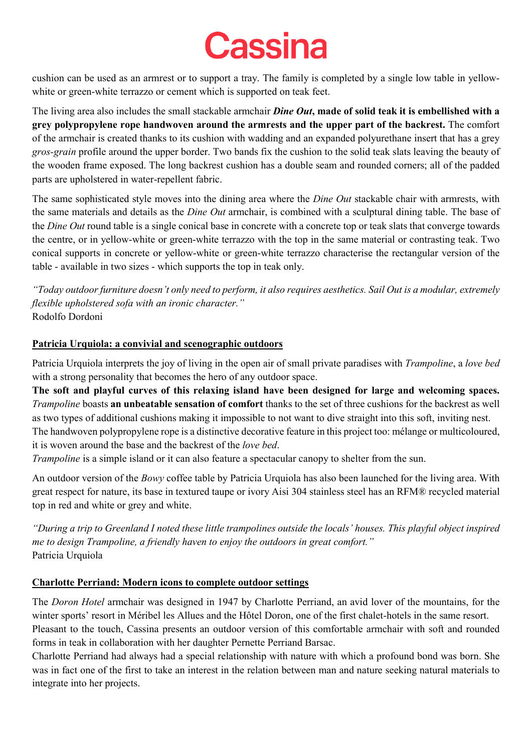cushion can be used as an armrest or to support a tray. The family is completed by a single low table in yellowwhite or green-white terrazzo or cement which is supported on teak feet.

The living area also includes the small stackable armchair *Dine Out***, made of solid teak it is embellished with a grey polypropylene rope handwoven around the armrests and the upper part of the backrest.** The comfort of the armchair is created thanks to its cushion with wadding and an expanded polyurethane insert that has a grey *gros-grain* profile around the upper border. Two bands fix the cushion to the solid teak slats leaving the beauty of the wooden frame exposed. The long backrest cushion has a double seam and rounded corners; all of the padded parts are upholstered in water-repellent fabric.

The same sophisticated style moves into the dining area where the *Dine Out* stackable chair with armrests, with the same materials and details as the *Dine Out* armchair, is combined with a sculptural dining table. The base of the *Dine Out* round table is a single conical base in concrete with a concrete top or teak slats that converge towards the centre, or in yellow-white or green-white terrazzo with the top in the same material or contrasting teak. Two conical supports in concrete or yellow-white or green-white terrazzo characterise the rectangular version of the table - available in two sizes - which supports the top in teak only.

*"Today outdoor furniture doesn't only need to perform, it also requires aesthetics. Sail Out is a modular, extremely flexible upholstered sofa with an ironic character."* Rodolfo Dordoni

## **Patricia Urquiola: a convivial and scenographic outdoors**

Patricia Urquiola interprets the joy of living in the open air of small private paradises with *Trampoline*, a *love bed* with a strong personality that becomes the hero of any outdoor space.

**The soft and playful curves of this relaxing island have been designed for large and welcoming spaces.**  *Trampoline* boasts **an unbeatable sensation of comfort** thanks to the set of three cushions for the backrest as well as two types of additional cushions making it impossible to not want to dive straight into this soft, inviting nest. The handwoven polypropylene rope is a distinctive decorative feature in this project too: mélange or multicoloured, it is woven around the base and the backrest of the *love bed*.

*Trampoline* is a simple island or it can also feature a spectacular canopy to shelter from the sun.

An outdoor version of the *Bowy* coffee table by Patricia Urquiola has also been launched for the living area. With great respect for nature, its base in textured taupe or ivory Aisi 304 stainless steel has an RFM® recycled material top in red and white or grey and white.

*"During a trip to Greenland I noted these little trampolines outside the locals' houses. This playful object inspired me to design Trampoline, a friendly haven to enjoy the outdoors in great comfort."*  Patricia Urquiola

## **Charlotte Perriand: Modern icons to complete outdoor settings**

The *Doron Hotel* armchair was designed in 1947 by Charlotte Perriand, an avid lover of the mountains, for the winter sports' resort in Méribel les Allues and the Hôtel Doron, one of the first chalet-hotels in the same resort. Pleasant to the touch, Cassina presents an outdoor version of this comfortable armchair with soft and rounded forms in teak in collaboration with her daughter Pernette Perriand Barsac.

Charlotte Perriand had always had a special relationship with nature with which a profound bond was born. She was in fact one of the first to take an interest in the relation between man and nature seeking natural materials to integrate into her projects.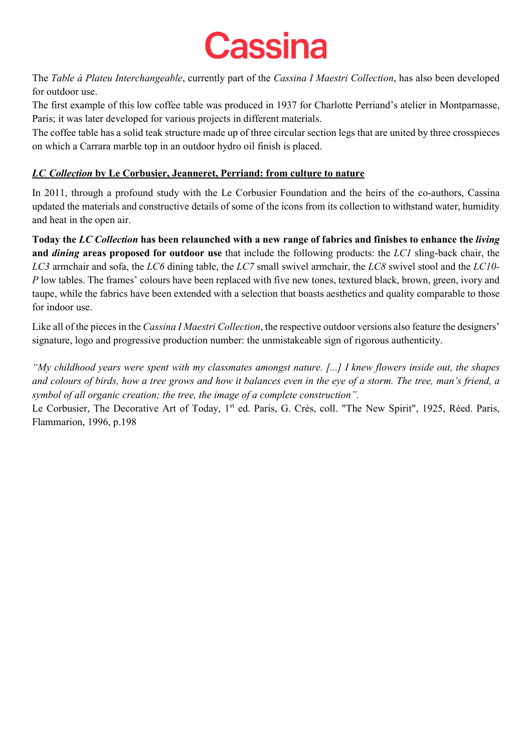

The *Table à Plateu Interchangeable*, currently part of the *Cassina I Maestri Collection*, has also been developed for outdoor use.

The first example of this low coffee table was produced in 1937 for Charlotte Perriand's atelier in Montparnasse, Paris; it was later developed for various projects in different materials.

The coffee table has a solid teak structure made up of three circular section legs that are united by three crosspieces on which a Carrara marble top in an outdoor hydro oil finish is placed.

## *LC Collection* **by Le Corbusier, Jeanneret, Perriand: from culture to nature**

In 2011, through a profound study with the Le Corbusier Foundation and the heirs of the co-authors, Cassina updated the materials and constructive details of some of the icons from its collection to withstand water, humidity and heat in the open air.

**Today the** *LC Collection* **has been relaunched with a new range of fabrics and finishes to enhance the** *living* **and** *dining* **areas proposed for outdoor use** that include the following products: the *LC1* sling-back chair, the *LC3* armchair and sofa, the *LC6* dining table, the *LC7* small swivel armchair, the *LC8* swivel stool and the *LC10- P* low tables. The frames' colours have been replaced with five new tones, textured black, brown, green, ivory and taupe, while the fabrics have been extended with a selection that boasts aesthetics and quality comparable to those for indoor use.

Like all of the pieces in the *Cassina I Maestri Collection*, the respective outdoor versions also feature the designers' signature, logo and progressive production number: the unmistakeable sign of rigorous authenticity.

*"My childhood years were spent with my classmates amongst nature. [...] I knew flowers inside out, the shapes and colours of birds, how a tree grows and how it balances even in the eye of a storm. The tree, man's friend, a symbol of all organic creation; the tree, the image of a complete construction".* 

Le Corbusier, The Decorative Art of Today, 1<sup>st</sup> ed. Paris, G. Crès, coll. "The New Spirit", 1925, Réed. Paris, Flammarion, 1996, p.198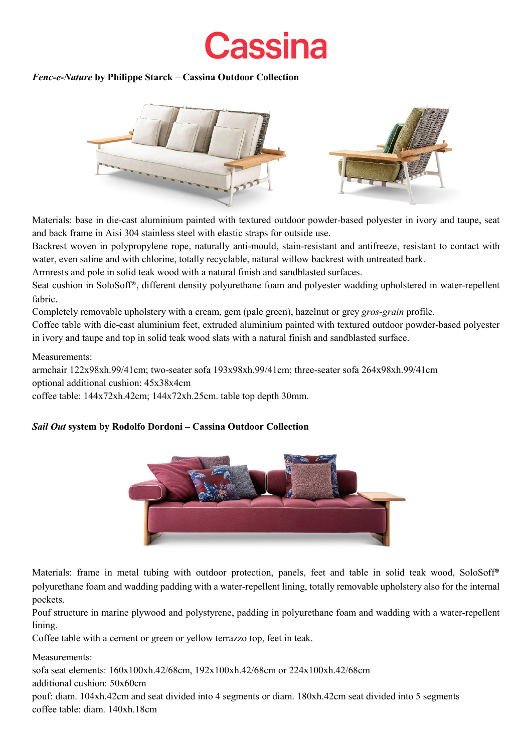## *Fenc-e-Nature* **by Philippe Starck – Cassina Outdoor Collection**



Materials: base in die-cast aluminium painted with textured outdoor powder-based polyester in ivory and taupe, seat and back frame in Aisi 304 stainless steel with elastic straps for outside use.

Backrest woven in polypropylene rope, naturally anti-mould, stain-resistant and antifreeze, resistant to contact with water, even saline and with chlorine, totally recyclable, natural willow backrest with untreated bark.

Armrests and pole in solid teak wood with a natural finish and sandblasted surfaces.

Seat cushion in SoloSoff®, different density polyurethane foam and polyester wadding upholstered in water-repellent fabric.

Completely removable upholstery with a cream, gem (pale green), hazelnut or grey *gros-grain* profile.

Coffee table with die-cast aluminium feet, extruded aluminium painted with textured outdoor powder-based polyester in ivory and taupe and top in solid teak wood slats with a natural finish and sandblasted surface.

### Measurements:

armchair 122x98xh.99/41cm; two-seater sofa 193x98xh.99/41cm; three-seater sofa 264x98xh.99/41cm optional additional cushion: 45x38x4cm

coffee table: 144x72xh.42cm; 144x72xh.25cm. table top depth 30mm.

## *Sail Out* **system by Rodolfo Dordoni – Cassina Outdoor Collection**



Materials: frame in metal tubing with outdoor protection, panels, feet and table in solid teak wood, SoloSoff® polyurethane foam and wadding padding with a water-repellent lining, totally removable upholstery also for the internal pockets.

Pouf structure in marine plywood and polystyrene, padding in polyurethane foam and wadding with a water-repellent lining.

Coffee table with a cement or green or yellow terrazzo top, feet in teak.

Measurements:

sofa seat elements: 160x100xh.42/68cm, 192x100xh.42/68cm or 224x100xh.42/68cm

additional cushion: 50x60cm

pouf: diam. 104xh.42cm and seat divided into 4 segments or diam. 180xh.42cm seat divided into 5 segments coffee table: diam. 140xh.18cm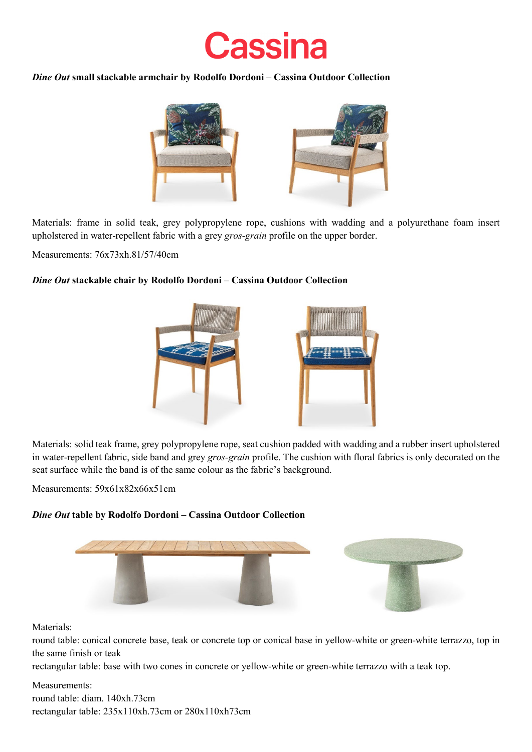

### *Dine Out* **small stackable armchair by Rodolfo Dordoni – Cassina Outdoor Collection**



Materials: frame in solid teak, grey polypropylene rope, cushions with wadding and a polyurethane foam insert upholstered in water-repellent fabric with a grey *gros-grain* profile on the upper border.

Measurements: 76x73xh.81/57/40cm

## *Dine Out* **stackable chair by Rodolfo Dordoni – Cassina Outdoor Collection**



Materials: solid teak frame, grey polypropylene rope, seat cushion padded with wadding and a rubber insert upholstered in water-repellent fabric, side band and grey *gros-grain* profile. The cushion with floral fabrics is only decorated on the seat surface while the band is of the same colour as the fabric's background.

Measurements: 59x61x82x66x51cm

## *Dine Out* **table by Rodolfo Dordoni – Cassina Outdoor Collection**



Materials:

round table: conical concrete base, teak or concrete top or conical base in yellow-white or green-white terrazzo, top in the same finish or teak

rectangular table: base with two cones in concrete or yellow-white or green-white terrazzo with a teak top.

## Measurements:

round table: diam. 140xh.73cm rectangular table: 235x110xh.73cm or 280x110xh73cm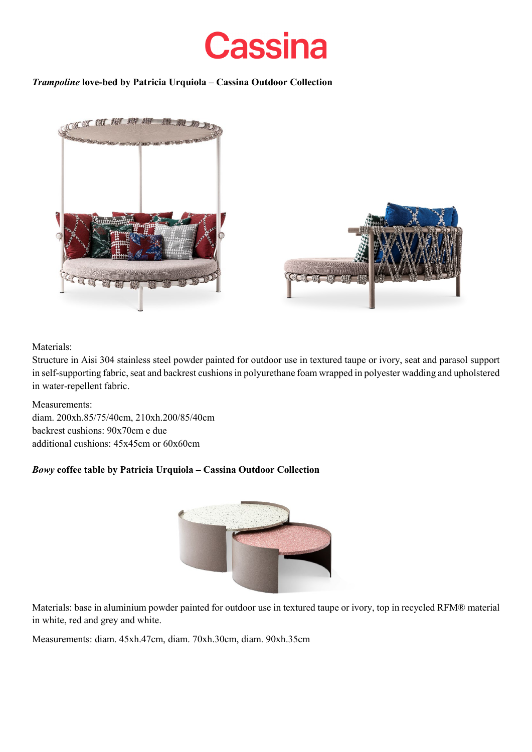

## *Trampoline* **love-bed by Patricia Urquiola – Cassina Outdoor Collection**



## Materials:

Structure in Aisi 304 stainless steel powder painted for outdoor use in textured taupe or ivory, seat and parasol support in self-supporting fabric, seat and backrest cushions in polyurethane foam wrapped in polyester wadding and upholstered in water-repellent fabric.

Measurements: diam. 200xh.85/75/40cm, 210xh.200/85/40cm backrest cushions: 90x70cm e due additional cushions: 45x45cm or 60x60cm

## *Bowy* **coffee table by Patricia Urquiola – Cassina Outdoor Collection**



Materials: base in aluminium powder painted for outdoor use in textured taupe or ivory, top in recycled RFM® material in white, red and grey and white.

Measurements: diam. 45xh.47cm, diam. 70xh.30cm, diam. 90xh.35cm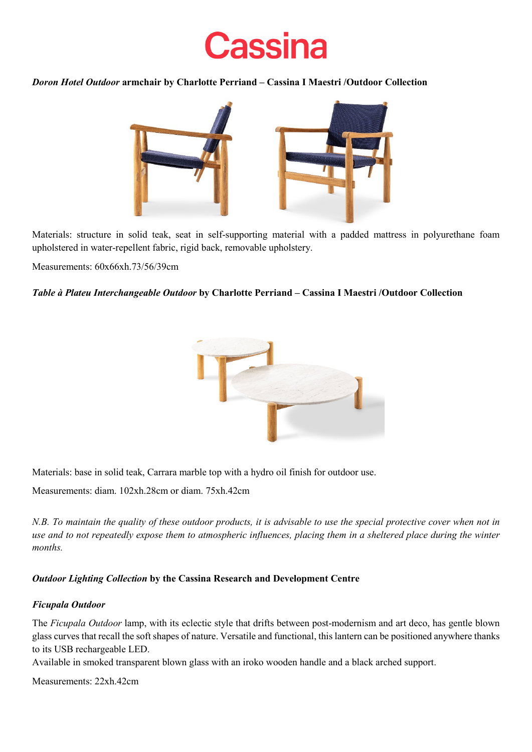*Doron Hotel Outdoor* **armchair by Charlotte Perriand – Cassina I Maestri /Outdoor Collection**



Materials: structure in solid teak, seat in self-supporting material with a padded mattress in polyurethane foam upholstered in water-repellent fabric, rigid back, removable upholstery.

Measurements: 60x66xh.73/56/39cm

### *Table à Plateu Interchangeable Outdoor* **by Charlotte Perriand – Cassina I Maestri /Outdoor Collection**



Materials: base in solid teak, Carrara marble top with a hydro oil finish for outdoor use.

Measurements: diam. 102xh.28cm or diam. 75xh.42cm

*N.B. To maintain the quality of these outdoor products, it is advisable to use the special protective cover when not in use and to not repeatedly expose them to atmospheric influences, placing them in a sheltered place during the winter months.*

## *Outdoor Lighting Collection* **by the Cassina Research and Development Centre**

## *Ficupala Outdoor*

The *Ficupala Outdoor* lamp, with its eclectic style that drifts between post-modernism and art deco, has gentle blown glass curves that recall the soft shapes of nature. Versatile and functional, this lantern can be positioned anywhere thanks to its USB rechargeable LED.

Available in smoked transparent blown glass with an iroko wooden handle and a black arched support.

Measurements: 22xh.42cm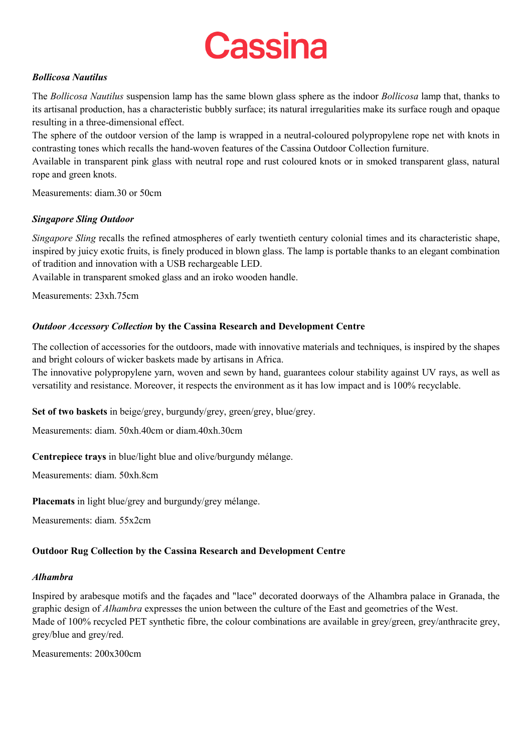### *Bollicosa Nautilus*

The *Bollicosa Nautilus* suspension lamp has the same blown glass sphere as the indoor *Bollicosa* lamp that, thanks to its artisanal production, has a characteristic bubbly surface; its natural irregularities make its surface rough and opaque resulting in a three-dimensional effect.

The sphere of the outdoor version of the lamp is wrapped in a neutral-coloured polypropylene rope net with knots in contrasting tones which recalls the hand-woven features of the Cassina Outdoor Collection furniture.

Available in transparent pink glass with neutral rope and rust coloured knots or in smoked transparent glass, natural rope and green knots.

Measurements: diam.30 or 50cm

## *Singapore Sling Outdoor*

*Singapore Sling* recalls the refined atmospheres of early twentieth century colonial times and its characteristic shape, inspired by juicy exotic fruits, is finely produced in blown glass. The lamp is portable thanks to an elegant combination of tradition and innovation with a USB rechargeable LED.

Available in transparent smoked glass and an iroko wooden handle.

Measurements: 23xh.75cm

## *Outdoor Accessory Collection* **by the Cassina Research and Development Centre**

The collection of accessories for the outdoors, made with innovative materials and techniques, is inspired by the shapes and bright colours of wicker baskets made by artisans in Africa.

The innovative polypropylene yarn, woven and sewn by hand, guarantees colour stability against UV rays, as well as versatility and resistance. Moreover, it respects the environment as it has low impact and is 100% recyclable.

**Set of two baskets** in beige/grey, burgundy/grey, green/grey, blue/grey.

Measurements: diam. 50xh.40cm or diam.40xh.30cm

**Centrepiece trays** in blue/light blue and olive/burgundy mélange.

Measurements: diam. 50xh.8cm

**Placemats** in light blue/grey and burgundy/grey mélange.

Measurements: diam. 55x2cm

## **Outdoor Rug Collection by the Cassina Research and Development Centre**

#### *Alhambra*

Inspired by arabesque motifs and the façades and "lace" decorated doorways of the Alhambra palace in Granada, the graphic design of *Alhambra* expresses the union between the culture of the East and geometries of the West. Made of 100% recycled PET synthetic fibre, the colour combinations are available in grey/green, grey/anthracite grey, grey/blue and grey/red.

Measurements: 200x300cm